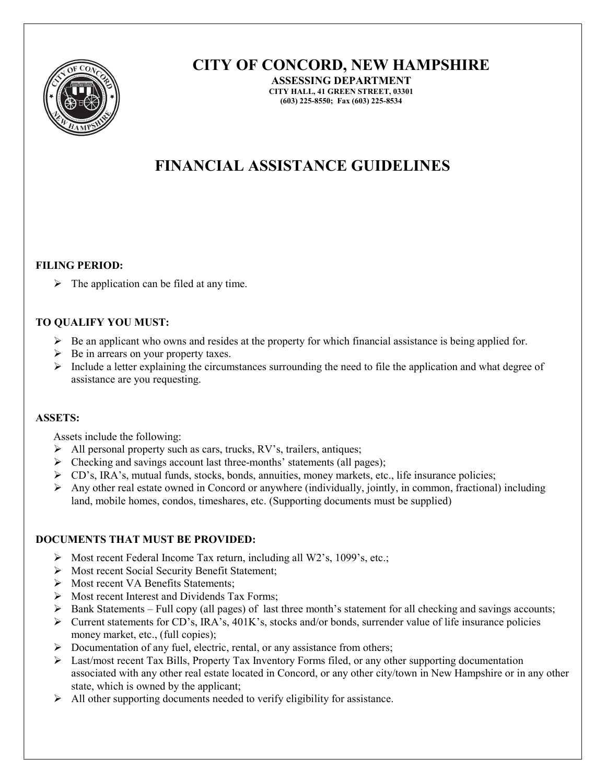

# CITY OF CONCORD, NEW HAMPSHIRE

ASSESSING DEPARTMENT CITY HALL, 41 GREEN STREET, 03301 (603) 225-8550; Fax (603) 225-8534

# FINANCIAL ASSISTANCE GUIDELINES

#### FILING PERIOD:

 $\triangleright$  The application can be filed at any time.

## TO QUALIFY YOU MUST:

- $\triangleright$  Be an applicant who owns and resides at the property for which financial assistance is being applied for.
- $\triangleright$  Be in arrears on your property taxes.
- $\triangleright$  Include a letter explaining the circumstances surrounding the need to file the application and what degree of assistance are you requesting.

#### ASSETS:

Assets include the following:

- $\triangleright$  All personal property such as cars, trucks, RV's, trailers, antiques;
- $\triangleright$  Checking and savings account last three-months' statements (all pages);
- CD's, IRA's, mutual funds, stocks, bonds, annuities, money markets, etc., life insurance policies;
- Any other real estate owned in Concord or anywhere (individually, jointly, in common, fractional) including land, mobile homes, condos, timeshares, etc. (Supporting documents must be supplied)

## DOCUMENTS THAT MUST BE PROVIDED:

- $\triangleright$  Most recent Federal Income Tax return, including all W2's, 1099's, etc.;
- Most recent Social Security Benefit Statement;
- Most recent VA Benefits Statements:
- $\triangleright$  Most recent Interest and Dividends Tax Forms;
- $\triangleright$  Bank Statements Full copy (all pages) of last three month's statement for all checking and savings accounts;
- $\triangleright$  Current statements for CD's, IRA's, 401K's, stocks and/or bonds, surrender value of life insurance policies money market, etc., (full copies);
- $\triangleright$  Documentation of any fuel, electric, rental, or any assistance from others;
- $\triangleright$  Last/most recent Tax Bills, Property Tax Inventory Forms filed, or any other supporting documentation associated with any other real estate located in Concord, or any other city/town in New Hampshire or in any other state, which is owned by the applicant;
- $\triangleright$  All other supporting documents needed to verify eligibility for assistance.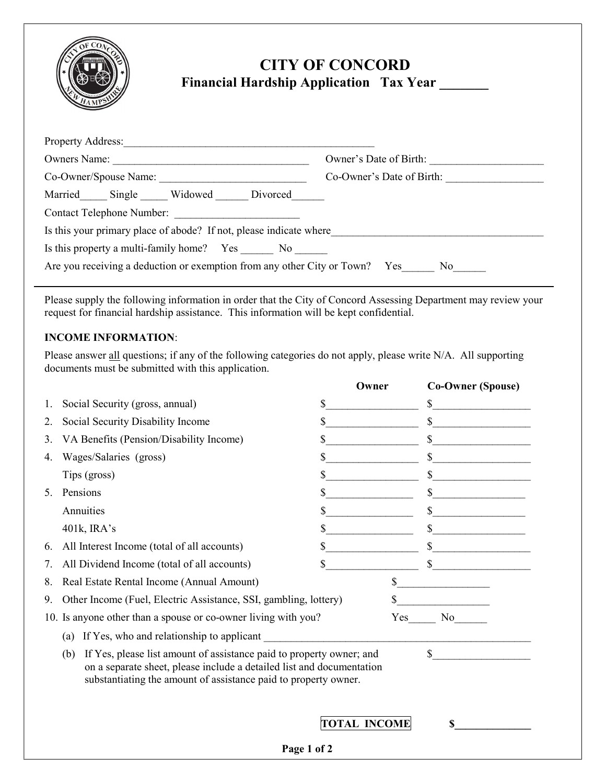

# CITY OF CONCORD Financial Hardship Application Tax Year \_\_\_\_\_\_

| <b>Property Address:</b>                                                    |                                                                                                                 |
|-----------------------------------------------------------------------------|-----------------------------------------------------------------------------------------------------------------|
| Owners Name:                                                                | Owner's Date of Birth:                                                                                          |
| Co-Owner/Spouse Name:                                                       | Co-Owner's Date of Birth:                                                                                       |
| Married Single Widowed Divorced                                             |                                                                                                                 |
| <b>Contact Telephone Number:</b>                                            |                                                                                                                 |
| Is this your primary place of abode? If not, please indicate where          |                                                                                                                 |
| Is this property a multi-family home? Yes No                                |                                                                                                                 |
| Are you receiving a deduction or exemption from any other City or Town? Yes | No representation of the New York of the New York of the New York of the New York of the New York of New York o |

Please supply the following information in order that the City of Concord Assessing Department may review your request for financial hardship assistance. This information will be kept confidential.

## INCOME INFORMATION:

Please answer all questions; if any of the following categories do not apply, please write N/A. All supporting documents must be submitted with this application.

|    |                                                                                                                                                                                                                         |                                    | Owner        | <b>Co-Owner (Spouse)</b> |
|----|-------------------------------------------------------------------------------------------------------------------------------------------------------------------------------------------------------------------------|------------------------------------|--------------|--------------------------|
| 1. | Social Security (gross, annual)                                                                                                                                                                                         | S                                  |              | \$                       |
| 2. | Social Security Disability Income                                                                                                                                                                                       | \$                                 |              |                          |
| 3. | VA Benefits (Pension/Disability Income)                                                                                                                                                                                 | S                                  |              |                          |
| 4. | Wages/Salaries (gross)                                                                                                                                                                                                  | \$                                 |              | \$                       |
|    | Tips (gross)                                                                                                                                                                                                            | \$                                 |              | <u> 1999 - Jan Jawa</u>  |
| 5. | Pensions                                                                                                                                                                                                                | \$                                 |              |                          |
|    | Annuities                                                                                                                                                                                                               | \$                                 |              |                          |
|    | 401k, IRA's                                                                                                                                                                                                             | \$                                 |              | \$                       |
| 6. | All Interest Income (total of all accounts)                                                                                                                                                                             | \$                                 |              |                          |
| 7. | All Dividend Income (total of all accounts)                                                                                                                                                                             | \$                                 |              | \$                       |
| 8. | Real Estate Rental Income (Annual Amount)                                                                                                                                                                               |                                    | \$           |                          |
| 9. | Other Income (Fuel, Electric Assistance, SSI, gambling, lottery)                                                                                                                                                        |                                    | \$           |                          |
|    | 10. Is anyone other than a spouse or co-owner living with you?                                                                                                                                                          |                                    | Yes          | No r                     |
|    | If Yes, who and relationship to applicant<br>(a)                                                                                                                                                                        |                                    |              |                          |
|    | If Yes, please list amount of assistance paid to property owner; and<br>(b)<br>on a separate sheet, please include a detailed list and documentation<br>substantiating the amount of assistance paid to property owner. |                                    | $\mathbb{S}$ |                          |
|    |                                                                                                                                                                                                                         | <b>TOTAL INCOME</b><br>Page 1 of 2 |              | \$                       |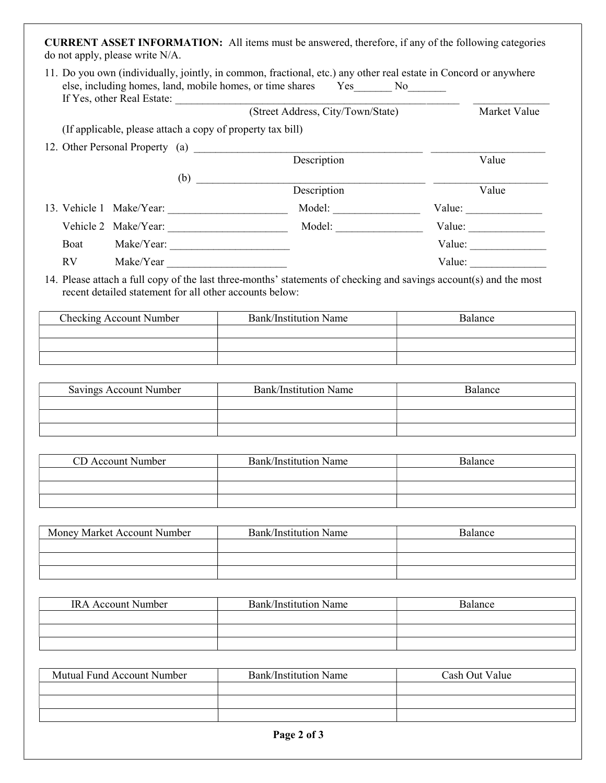CURRENT ASSET INFORMATION: All items must be answered, therefore, if any of the following categories do not apply, please write N/A.

|                                                            | If Yes, other Real Estate: (Street Address, City/Town/State)                                                       | Market Value                                            |
|------------------------------------------------------------|--------------------------------------------------------------------------------------------------------------------|---------------------------------------------------------|
| (If applicable, please attach a copy of property tax bill) |                                                                                                                    |                                                         |
| 12. Other Personal Property (a) Description                |                                                                                                                    |                                                         |
|                                                            |                                                                                                                    | Value                                                   |
|                                                            | $\begin{array}{c}\n\text{(b)} \quad \text{Description}\n\end{array}$                                               |                                                         |
|                                                            |                                                                                                                    | Value                                                   |
|                                                            |                                                                                                                    |                                                         |
|                                                            |                                                                                                                    | Value: $\frac{1}{\sqrt{1-\frac{1}{2}}\cdot\frac{1}{2}}$ |
| Boat                                                       |                                                                                                                    | Value: $\frac{1}{\sqrt{1-\frac{1}{2}}\cdot\frac{1}{2}}$ |
| RV<br>Make/Year                                            |                                                                                                                    | Value:                                                  |
| recent detailed statement for all other accounts below:    | 14. Please attach a full copy of the last three-months' statements of checking and savings account(s) and the most |                                                         |
| <b>Checking Account Number</b>                             | <b>Bank/Institution Name</b>                                                                                       | Balance                                                 |
|                                                            |                                                                                                                    |                                                         |
|                                                            |                                                                                                                    |                                                         |
|                                                            |                                                                                                                    |                                                         |
| Savings Account Number                                     | <b>Bank/Institution Name</b>                                                                                       | Balance                                                 |
|                                                            |                                                                                                                    |                                                         |
|                                                            |                                                                                                                    |                                                         |
|                                                            |                                                                                                                    |                                                         |
| CD Account Number                                          | <b>Bank/Institution Name</b>                                                                                       | Balance                                                 |
|                                                            |                                                                                                                    |                                                         |
|                                                            |                                                                                                                    |                                                         |
|                                                            |                                                                                                                    |                                                         |
| Money Market Account Number                                | <b>Bank/Institution Name</b>                                                                                       | Balance                                                 |
|                                                            |                                                                                                                    |                                                         |
|                                                            |                                                                                                                    |                                                         |
|                                                            |                                                                                                                    |                                                         |
| <b>IRA Account Number</b>                                  | <b>Bank/Institution Name</b>                                                                                       | Balance                                                 |
|                                                            |                                                                                                                    |                                                         |
|                                                            |                                                                                                                    |                                                         |
|                                                            |                                                                                                                    |                                                         |
| Mutual Fund Account Number                                 | <b>Bank/Institution Name</b>                                                                                       | Cash Out Value                                          |

| Mutual Fund Account Number | <b>Bank/Institution Name</b> | Cash Out Value |
|----------------------------|------------------------------|----------------|
|                            |                              |                |
|                            |                              |                |
|                            |                              |                |
|                            |                              |                |